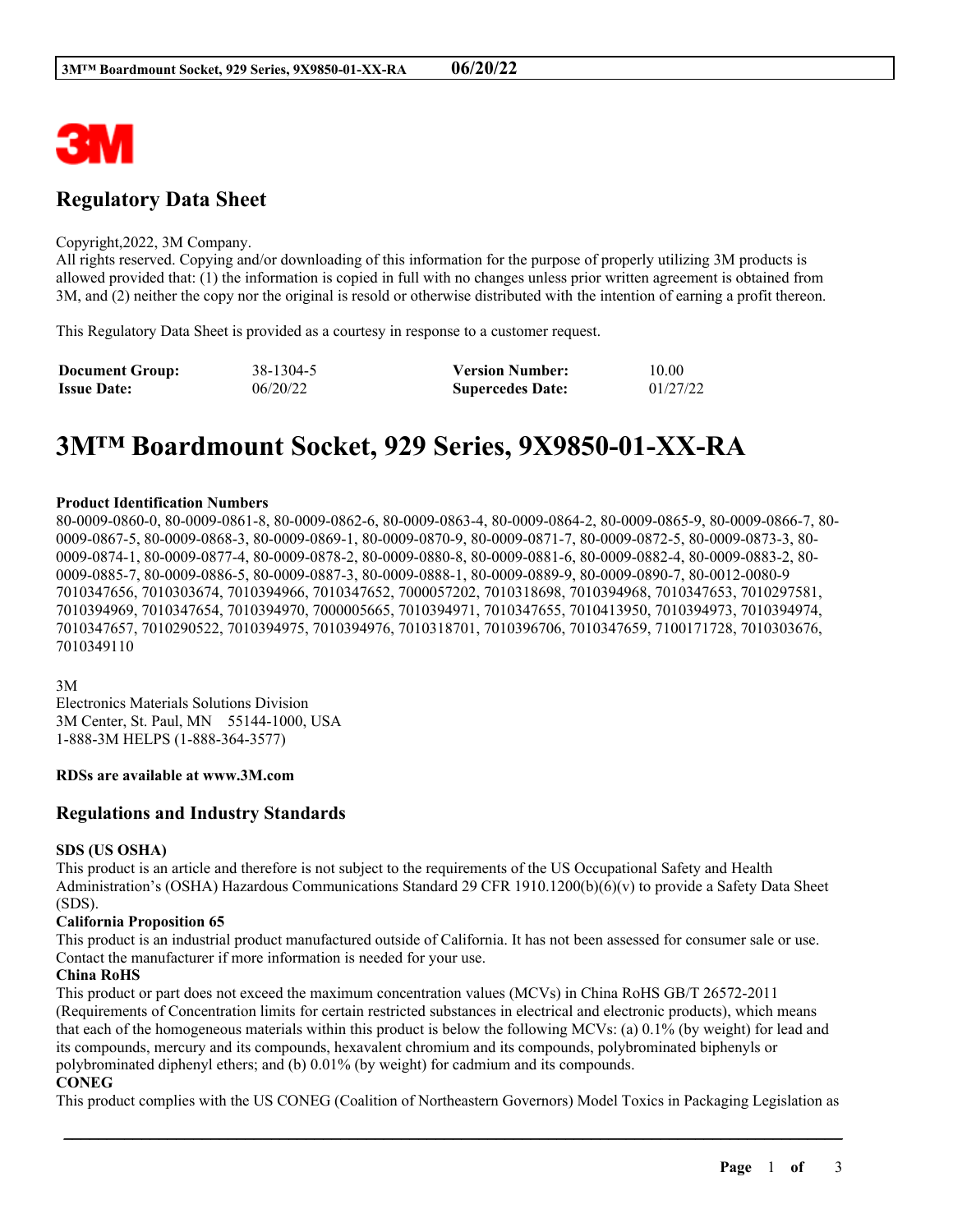

# **Regulatory Data Sheet**

#### Copyright,2022, 3M Company.

All rights reserved. Copying and/or downloading of this information for the purpose of properly utilizing 3M products is allowed provided that: (1) the information is copied in full with no changes unless prior written agreement is obtained from 3M, and (2) neither the copy nor the original is resold or otherwise distributed with the intention of earning a profit thereon.

This Regulatory Data Sheet is provided as a courtesy in response to a customer request.

| <b>Document Group:</b> | 38-1304-5 | <b>Version Number:</b>  | 10.00    |
|------------------------|-----------|-------------------------|----------|
| <b>Issue Date:</b>     | 06/20/22  | <b>Supercedes Date:</b> | 01/27/22 |

# **3M™ Boardmount Socket, 929 Series, 9X9850-01-XX-RA**

#### **Product Identification Numbers**

80-0009-0860-0, 80-0009-0861-8, 80-0009-0862-6, 80-0009-0863-4, 80-0009-0864-2, 80-0009-0865-9, 80-0009-0866-7, 80- 0009-0867-5, 80-0009-0868-3, 80-0009-0869-1, 80-0009-0870-9, 80-0009-0871-7, 80-0009-0872-5, 80-0009-0873-3, 80- 0009-0874-1, 80-0009-0877-4, 80-0009-0878-2, 80-0009-0880-8, 80-0009-0881-6, 80-0009-0882-4, 80-0009-0883-2, 80- 0009-0885-7, 80-0009-0886-5, 80-0009-0887-3, 80-0009-0888-1, 80-0009-0889-9, 80-0009-0890-7, 80-0012-0080-9 7010347656, 7010303674, 7010394966, 7010347652, 7000057202, 7010318698, 7010394968, 7010347653, 7010297581, 7010394969, 7010347654, 7010394970, 7000005665, 7010394971, 7010347655, 7010413950, 7010394973, 7010394974, 7010347657, 7010290522, 7010394975, 7010394976, 7010318701, 7010396706, 7010347659, 7100171728, 7010303676, 7010349110

#### 3M

Electronics Materials Solutions Division 3M Center, St. Paul, MN 55144-1000, USA 1-888-3M HELPS (1-888-364-3577)

#### **RDSs are available at www.3M.com**

#### **Regulations and Industry Standards**

#### **SDS (US OSHA)**

This product is an article and therefore is not subject to the requirements of the US Occupational Safety and Health Administration's (OSHA) Hazardous Communications Standard 29 CFR 1910.1200(b)(6)(v) to provide a Safety Data Sheet (SDS).

#### **California Proposition 65**

This product is an industrial product manufactured outside of California. It has not been assessed for consumer sale or use. Contact the manufacturer if more information is needed for your use.

#### **China RoHS**

This product or part does not exceed the maximum concentration values (MCVs) in China RoHS GB/T 26572-2011 (Requirements of Concentration limits for certain restricted substances in electrical and electronic products), which means that each of the homogeneous materials within this product is below the following MCVs: (a) 0.1% (by weight) for lead and its compounds, mercury and its compounds, hexavalent chromium and its compounds, polybrominated biphenyls or polybrominated diphenyl ethers; and (b) 0.01% (by weight) for cadmium and its compounds.

#### **CONEG**

This product complies with the US CONEG (Coalition of Northeastern Governors) Model Toxics in Packaging Legislation as

\_\_\_\_\_\_\_\_\_\_\_\_\_\_\_\_\_\_\_\_\_\_\_\_\_\_\_\_\_\_\_\_\_\_\_\_\_\_\_\_\_\_\_\_\_\_\_\_\_\_\_\_\_\_\_\_\_\_\_\_\_\_\_\_\_\_\_\_\_\_\_\_\_\_\_\_\_\_\_\_\_\_\_\_\_\_\_\_\_\_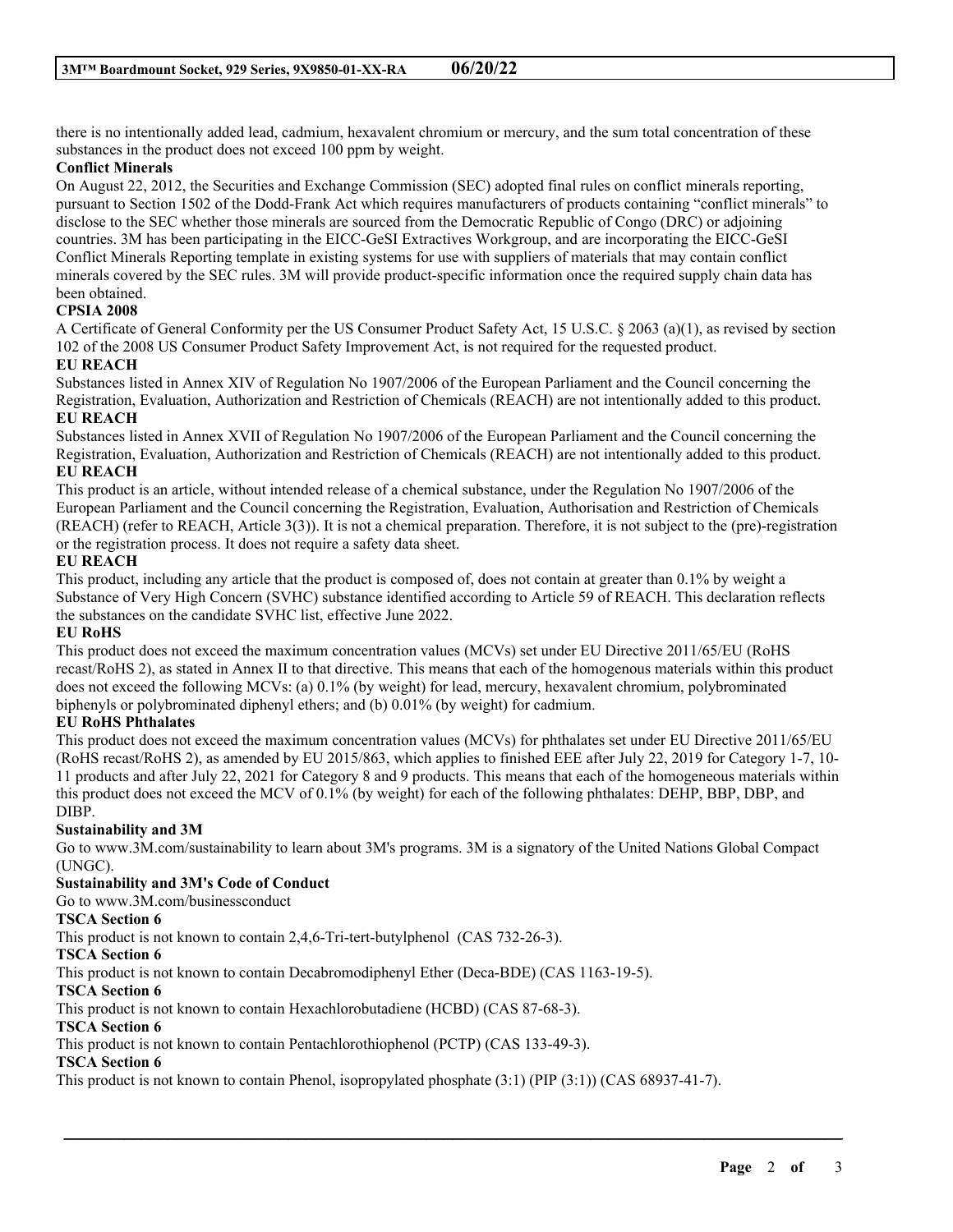there is no intentionally added lead, cadmium, hexavalent chromium or mercury, and the sum total concentration of these substances in the product does not exceed 100 ppm by weight.

#### **Conflict Minerals**

On August 22, 2012, the Securities and Exchange Commission (SEC) adopted final rules on conflict minerals reporting, pursuant to Section 1502 of the Dodd-Frank Act which requires manufacturers of products containing "conflict minerals" to disclose to the SEC whether those minerals are sourced from the Democratic Republic of Congo (DRC) or adjoining countries. 3M has been participating in the EICC-GeSI Extractives Workgroup, and are incorporating the EICC-GeSI Conflict Minerals Reporting template in existing systems for use with suppliers of materials that may contain conflict minerals covered by the SEC rules. 3M will provide product-specific information once the required supply chain data has been obtained.

#### **CPSIA 2008**

A Certificate of General Conformity per the US Consumer Product Safety Act, 15 U.S.C. § 2063 (a)(1), as revised by section 102 of the 2008 US Consumer Product Safety Improvement Act, is not required for the requested product.

#### **EU REACH**

Substances listed in Annex XIV of Regulation No 1907/2006 of the European Parliament and the Council concerning the Registration, Evaluation, Authorization and Restriction of Chemicals (REACH) are not intentionally added to this product. **EU REACH**

Substances listed in Annex XVII of Regulation No 1907/2006 of the European Parliament and the Council concerning the Registration, Evaluation, Authorization and Restriction of Chemicals (REACH) are not intentionally added to this product. **EU REACH**

This product is an article, without intended release of a chemical substance, under the Regulation No 1907/2006 of the European Parliament and the Council concerning the Registration, Evaluation, Authorisation and Restriction of Chemicals (REACH) (refer to REACH, Article 3(3)). It is not a chemical preparation. Therefore, it is not subject to the (pre)-registration or the registration process. It does not require a safety data sheet.

#### **EU REACH**

This product, including any article that the product is composed of, does not contain at greater than 0.1% by weight a Substance of Very High Concern (SVHC) substance identified according to Article 59 of REACH. This declaration reflects the substances on the candidate SVHC list, effective June 2022.

#### **EU RoHS**

This product does not exceed the maximum concentration values (MCVs) set under EU Directive 2011/65/EU (RoHS recast/RoHS 2), as stated in Annex II to that directive. This means that each of the homogenous materials within this product does not exceed the following MCVs: (a) 0.1% (by weight) for lead, mercury, hexavalent chromium, polybrominated biphenyls or polybrominated diphenyl ethers; and (b) 0.01% (by weight) for cadmium.

#### **EU RoHS Phthalates**

This product does not exceed the maximum concentration values (MCVs) for phthalates set under EU Directive 2011/65/EU (RoHS recast/RoHS 2), as amended by EU 2015/863, which applies to finished EEE after July 22, 2019 for Category 1-7, 10- 11 products and after July 22, 2021 for Category 8 and 9 products. This means that each of the homogeneous materials within this product does not exceed the MCV of 0.1% (by weight) for each of the following phthalates: DEHP, BBP, DBP, and DIBP.

#### **Sustainability and 3M**

Go to www.3M.com/sustainability to learn about 3M's programs. 3M is a signatory of the United Nations Global Compact (UNGC).

\_\_\_\_\_\_\_\_\_\_\_\_\_\_\_\_\_\_\_\_\_\_\_\_\_\_\_\_\_\_\_\_\_\_\_\_\_\_\_\_\_\_\_\_\_\_\_\_\_\_\_\_\_\_\_\_\_\_\_\_\_\_\_\_\_\_\_\_\_\_\_\_\_\_\_\_\_\_\_\_\_\_\_\_\_\_\_\_\_\_

#### **Sustainability and 3M's Code of Conduct**

Go to www.3M.com/businessconduct

#### **TSCA Section 6**

This product is not known to contain 2,4,6-Tri-tert-butylphenol (CAS 732-26-3).

#### **TSCA Section 6**

This product is not known to contain Decabromodiphenyl Ether (Deca-BDE) (CAS 1163-19-5).

#### **TSCA Section 6**

This product is not known to contain Hexachlorobutadiene (HCBD) (CAS 87-68-3).

#### **TSCA Section 6**

This product is not known to contain Pentachlorothiophenol (PCTP) (CAS 133-49-3).

### **TSCA Section 6**

This product is not known to contain Phenol, isopropylated phosphate (3:1) (PIP (3:1)) (CAS 68937-41-7).